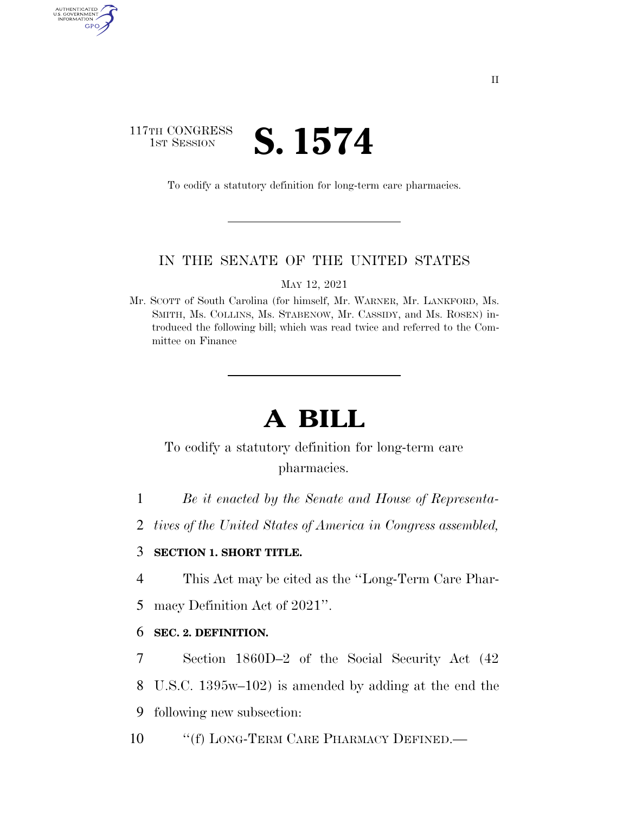## 117TH CONGRESS **1ST SESSION S. 1574**

AUTHENTICATED<br>U.S. GOVERNMENT<br>INFORMATION

GPO

To codify a statutory definition for long-term care pharmacies.

### IN THE SENATE OF THE UNITED STATES

MAY 12, 2021

Mr. SCOTT of South Carolina (for himself, Mr. WARNER, Mr. LANKFORD, Ms. SMITH, Ms. COLLINS, Ms. STABENOW, Mr. CASSIDY, and Ms. ROSEN) introduced the following bill; which was read twice and referred to the Committee on Finance

# **A BILL**

To codify a statutory definition for long-term care pharmacies.

1 *Be it enacted by the Senate and House of Representa-*

2 *tives of the United States of America in Congress assembled,* 

### 3 **SECTION 1. SHORT TITLE.**

4 This Act may be cited as the ''Long-Term Care Phar-

5 macy Definition Act of 2021''.

### 6 **SEC. 2. DEFINITION.**

7 Section 1860D–2 of the Social Security Act (42 8 U.S.C. 1395w–102) is amended by adding at the end the 9 following new subsection:

10 "(f) LONG-TERM CARE PHARMACY DEFINED.—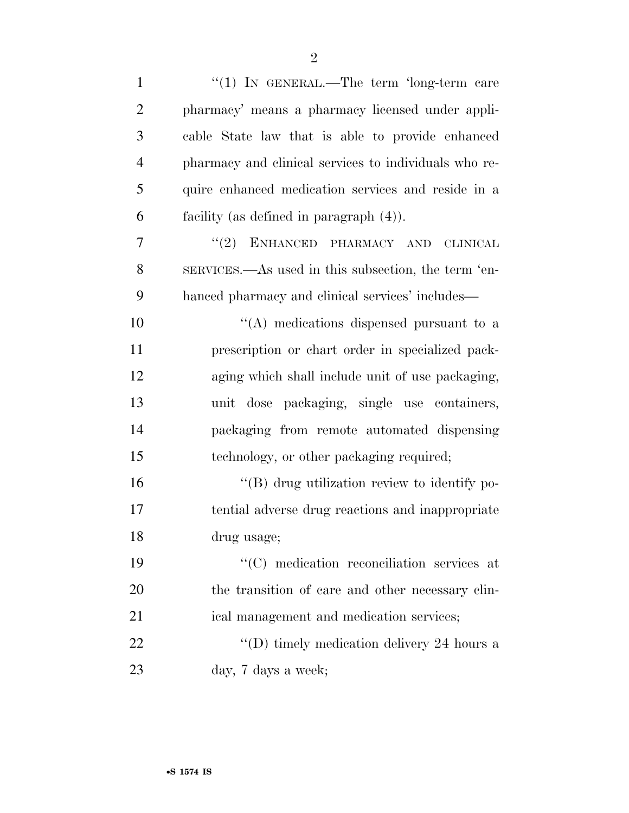| $\mathbf{1}$   | "(1) IN GENERAL.—The term 'long-term care             |
|----------------|-------------------------------------------------------|
| $\overline{2}$ | pharmacy' means a pharmacy licensed under appli-      |
| 3              | cable State law that is able to provide enhanced      |
| 4              | pharmacy and clinical services to individuals who re- |
| 5              | quire enhanced medication services and reside in a    |
| 6              | facility (as defined in paragraph $(4)$ ).            |
| 7              | "(2) ENHANCED PHARMACY AND<br><b>CLINICAL</b>         |
| 8              | SERVICES.—As used in this subsection, the term 'en-   |
| 9              | hanced pharmacy and clinical services' includes—      |
| 10             | $\lq\lq$ medications dispensed pursuant to a          |
| 11             | prescription or chart order in specialized pack-      |
| 12             | aging which shall include unit of use packaging,      |
| 13             | unit dose packaging, single use containers,           |
| 14             | packaging from remote automated dispensing            |
| 15             | technology, or other packaging required;              |
| 16             | "(B) drug utilization review to identify po-          |
| 17             | tential adverse drug reactions and inappropriate      |
| 18             | drug usage;                                           |
| 19             | $\lq\lq$ medication reconciliation services at        |
| <b>20</b>      | the transition of care and other necessary clin-      |
| 21             | ical management and medication services;              |
| 22             | "(D) timely medication delivery 24 hours a            |
| 23             | day, 7 days a week;                                   |